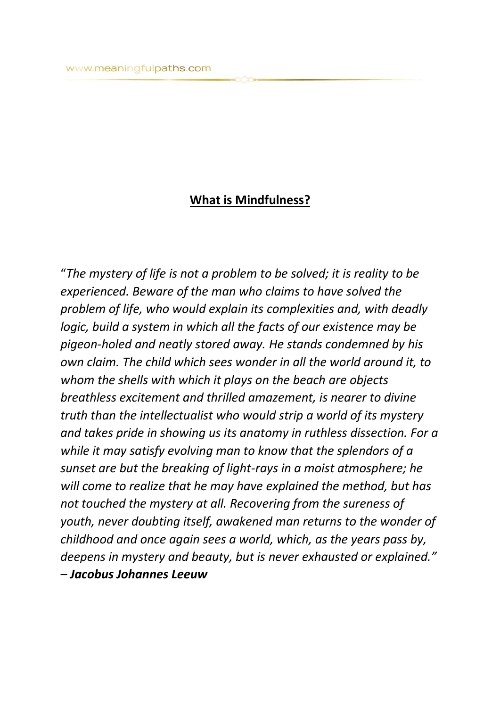## **What is Mindfulness?**

"*The mystery of life is not a problem to be solved; it is reality to be experienced. Beware of the man who claims to have solved the problem of life, who would explain its complexities and, with deadly logic, build a system in which all the facts of our existence may be pigeon-holed and neatly stored away. He stands condemned by his own claim. The child which sees wonder in all the world around it, to whom the shells with which it plays on the beach are objects breathless excitement and thrilled amazement, is nearer to divine truth than the intellectualist who would strip a world of its mystery and takes pride in showing us its anatomy in ruthless dissection. For a while it may satisfy evolving man to know that the splendors of a sunset are but the breaking of light-rays in a moist atmosphere; he will come to realize that he may have explained the method, but has not touched the mystery at all. Recovering from the sureness of youth, never doubting itself, awakened man returns to the wonder of childhood and once again sees a world, which, as the years pass by, deepens in mystery and beauty, but is never exhausted or explained." – Jacobus Johannes Leeuw*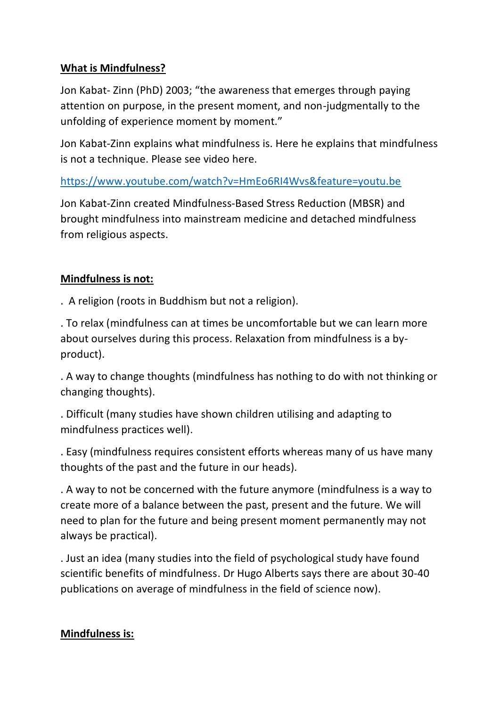## **What is Mindfulness?**

Jon Kabat- Zinn (PhD) 2003; "the awareness that emerges through paying attention on purpose, in the present moment, and non-judgmentally to the unfolding of experience moment by moment."

Jon Kabat-Zinn explains what mindfulness is. Here he explains that mindfulness is not a technique. Please see video here.

<https://www.youtube.com/watch?v=HmEo6RI4Wvs&feature=youtu.be>

Jon Kabat-Zinn created Mindfulness-Based Stress Reduction (MBSR) and brought mindfulness into mainstream medicine and detached mindfulness from religious aspects.

## **Mindfulness is not:**

. A religion (roots in Buddhism but not a religion).

. To relax (mindfulness can at times be uncomfortable but we can learn more about ourselves during this process. Relaxation from mindfulness is a byproduct).

. A way to change thoughts (mindfulness has nothing to do with not thinking or changing thoughts).

. Difficult (many studies have shown children utilising and adapting to mindfulness practices well).

. Easy (mindfulness requires consistent efforts whereas many of us have many thoughts of the past and the future in our heads).

. A way to not be concerned with the future anymore (mindfulness is a way to create more of a balance between the past, present and the future. We will need to plan for the future and being present moment permanently may not always be practical).

. Just an idea (many studies into the field of psychological study have found scientific benefits of mindfulness. Dr Hugo Alberts says there are about 30-40 publications on average of mindfulness in the field of science now).

## **Mindfulness is:**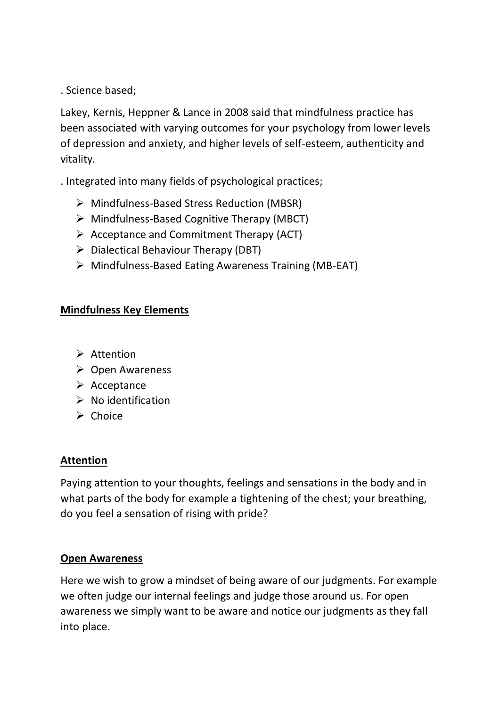. Science based;

Lakey, Kernis, Heppner & Lance in 2008 said that mindfulness practice has been associated with varying outcomes for your psychology from lower levels of depression and anxiety, and higher levels of self-esteem, authenticity and vitality.

. Integrated into many fields of psychological practices;

- ➢ Mindfulness-Based Stress Reduction (MBSR)
- ➢ Mindfulness-Based Cognitive Therapy (MBCT)
- $\triangleright$  Acceptance and Commitment Therapy (ACT)
- $\triangleright$  Dialectical Behaviour Therapy (DBT)
- ➢ Mindfulness-Based Eating Awareness Training (MB-EAT)

## **Mindfulness Key Elements**

- ➢ Attention
- ➢ Open Awareness
- ➢ Acceptance
- ➢ No identification
- ➢ Choice

## **Attention**

Paying attention to your thoughts, feelings and sensations in the body and in what parts of the body for example a tightening of the chest; your breathing, do you feel a sensation of rising with pride?

## **Open Awareness**

Here we wish to grow a mindset of being aware of our judgments. For example we often judge our internal feelings and judge those around us. For open awareness we simply want to be aware and notice our judgments as they fall into place.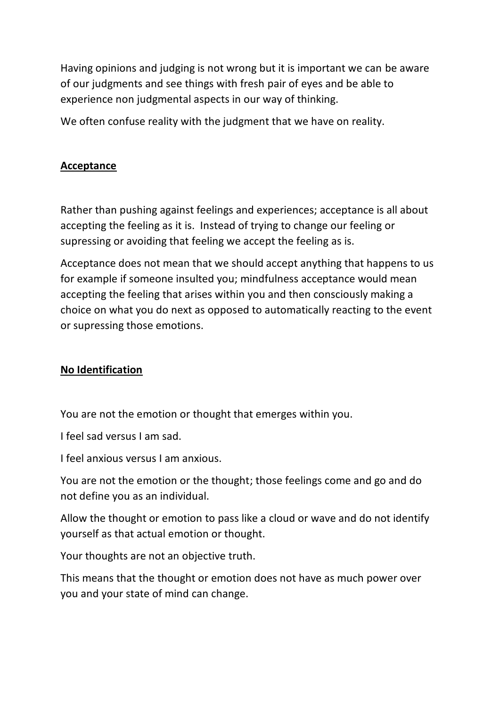Having opinions and judging is not wrong but it is important we can be aware of our judgments and see things with fresh pair of eyes and be able to experience non judgmental aspects in our way of thinking.

We often confuse reality with the judgment that we have on reality.

## **Acceptance**

Rather than pushing against feelings and experiences; acceptance is all about accepting the feeling as it is. Instead of trying to change our feeling or supressing or avoiding that feeling we accept the feeling as is.

Acceptance does not mean that we should accept anything that happens to us for example if someone insulted you; mindfulness acceptance would mean accepting the feeling that arises within you and then consciously making a choice on what you do next as opposed to automatically reacting to the event or supressing those emotions.

## **No Identification**

You are not the emotion or thought that emerges within you.

I feel sad versus I am sad.

I feel anxious versus I am anxious.

You are not the emotion or the thought; those feelings come and go and do not define you as an individual.

Allow the thought or emotion to pass like a cloud or wave and do not identify yourself as that actual emotion or thought.

Your thoughts are not an objective truth.

This means that the thought or emotion does not have as much power over you and your state of mind can change.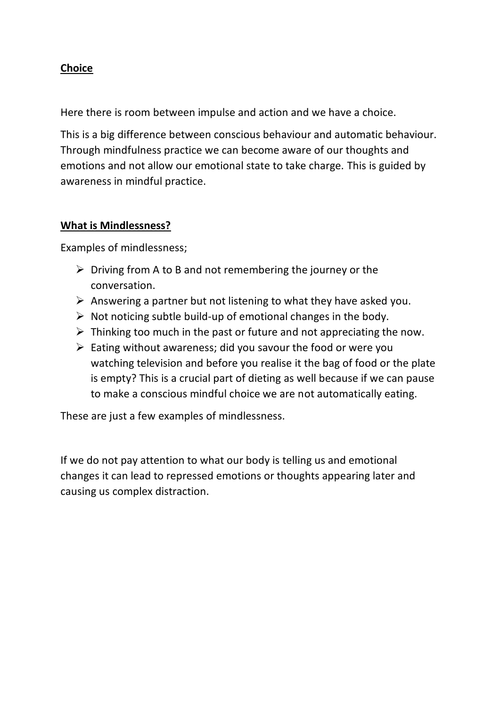## **Choice**

Here there is room between impulse and action and we have a choice.

This is a big difference between conscious behaviour and automatic behaviour. Through mindfulness practice we can become aware of our thoughts and emotions and not allow our emotional state to take charge. This is guided by awareness in mindful practice.

#### **What is Mindlessness?**

Examples of mindlessness;

- $\triangleright$  Driving from A to B and not remembering the journey or the conversation.
- $\triangleright$  Answering a partner but not listening to what they have asked you.
- $\triangleright$  Not noticing subtle build-up of emotional changes in the body.
- $\triangleright$  Thinking too much in the past or future and not appreciating the now.
- $\triangleright$  Eating without awareness; did you savour the food or were you watching television and before you realise it the bag of food or the plate is empty? This is a crucial part of dieting as well because if we can pause to make a conscious mindful choice we are not automatically eating.

These are just a few examples of mindlessness.

If we do not pay attention to what our body is telling us and emotional changes it can lead to repressed emotions or thoughts appearing later and causing us complex distraction.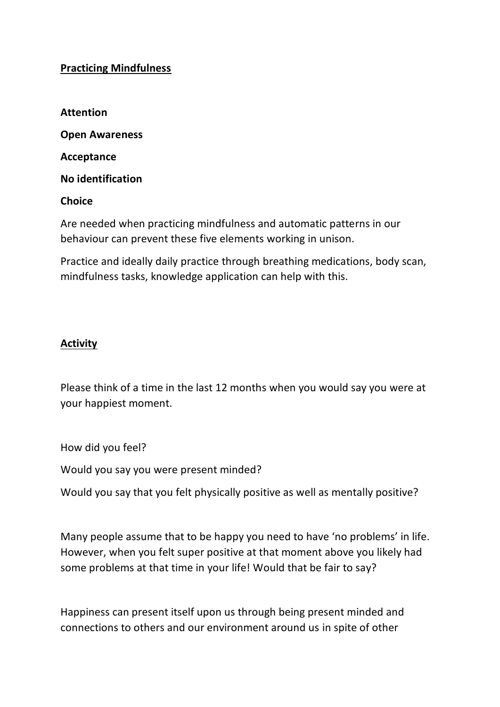### **Practicing Mindfulness**

**Attention** 

**Open Awareness**

**Acceptance** 

**No identification** 

#### **Choice**

Are needed when practicing mindfulness and automatic patterns in our behaviour can prevent these five elements working in unison.

Practice and ideally daily practice through breathing medications, body scan, mindfulness tasks, knowledge application can help with this.

#### **Activity**

Please think of a time in the last 12 months when you would say you were at your happiest moment.

How did you feel?

Would you say you were present minded?

Would you say that you felt physically positive as well as mentally positive?

Many people assume that to be happy you need to have 'no problems' in life. However, when you felt super positive at that moment above you likely had some problems at that time in your life! Would that be fair to say?

Happiness can present itself upon us through being present minded and connections to others and our environment around us in spite of other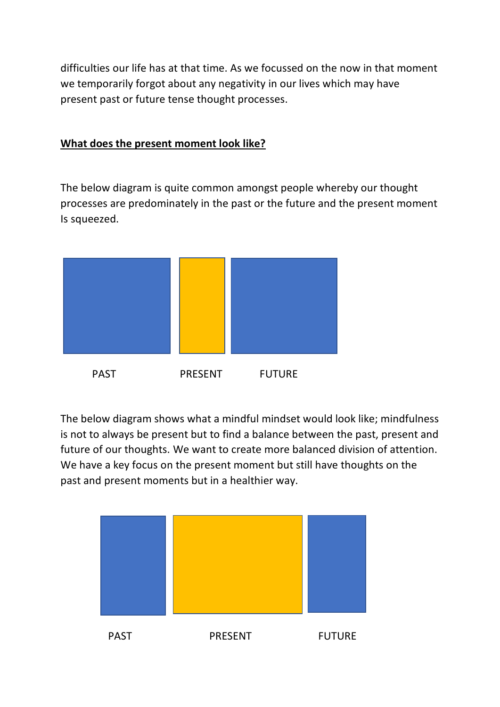difficulties our life has at that time. As we focussed on the now in that moment we temporarily forgot about any negativity in our lives which may have present past or future tense thought processes.

## **What does the present moment look like?**

The below diagram is quite common amongst people whereby our thought processes are predominately in the past or the future and the present moment Is squeezed.



The below diagram shows what a mindful mindset would look like; mindfulness is not to always be present but to find a balance between the past, present and future of our thoughts. We want to create more balanced division of attention. We have a key focus on the present moment but still have thoughts on the past and present moments but in a healthier way.

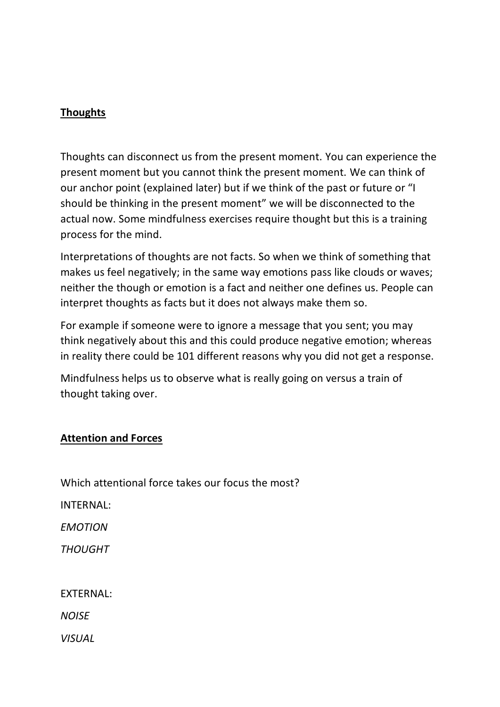## **Thoughts**

Thoughts can disconnect us from the present moment. You can experience the present moment but you cannot think the present moment. We can think of our anchor point (explained later) but if we think of the past or future or "I should be thinking in the present moment" we will be disconnected to the actual now. Some mindfulness exercises require thought but this is a training process for the mind.

Interpretations of thoughts are not facts. So when we think of something that makes us feel negatively; in the same way emotions pass like clouds or waves; neither the though or emotion is a fact and neither one defines us. People can interpret thoughts as facts but it does not always make them so.

For example if someone were to ignore a message that you sent; you may think negatively about this and this could produce negative emotion; whereas in reality there could be 101 different reasons why you did not get a response.

Mindfulness helps us to observe what is really going on versus a train of thought taking over.

## **Attention and Forces**

Which attentional force takes our focus the most?

INTERNAL:

*EMOTION* 

*THOUGHT* 

## EXTERNAL:

*NOISE* 

*VISUAL*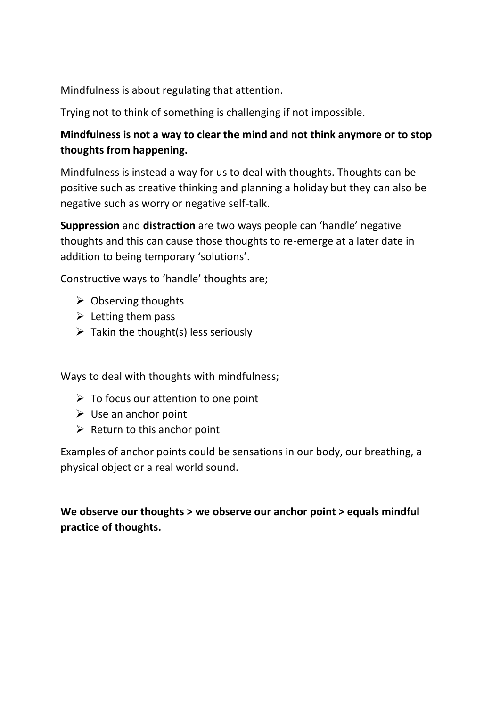Mindfulness is about regulating that attention.

Trying not to think of something is challenging if not impossible.

## **Mindfulness is not a way to clear the mind and not think anymore or to stop thoughts from happening.**

Mindfulness is instead a way for us to deal with thoughts. Thoughts can be positive such as creative thinking and planning a holiday but they can also be negative such as worry or negative self-talk.

**Suppression** and **distraction** are two ways people can 'handle' negative thoughts and this can cause those thoughts to re-emerge at a later date in addition to being temporary 'solutions'.

Constructive ways to 'handle' thoughts are;

- $\triangleright$  Observing thoughts
- $\triangleright$  Letting them pass
- $\triangleright$  Takin the thought(s) less seriously

Ways to deal with thoughts with mindfulness;

- $\triangleright$  To focus our attention to one point
- $\triangleright$  Use an anchor point
- $\triangleright$  Return to this anchor point

Examples of anchor points could be sensations in our body, our breathing, a physical object or a real world sound.

**We observe our thoughts > we observe our anchor point > equals mindful practice of thoughts.**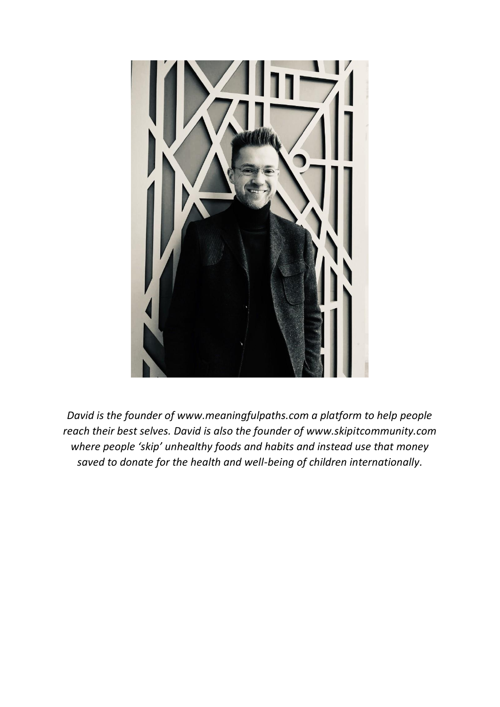

*David is the founder of www.meaningfulpaths.com a platform to help people reach their best selves. David is also the founder of www.skipitcommunity.com where people 'skip' unhealthy foods and habits and instead use that money saved to donate for the health and well-being of children internationally.*